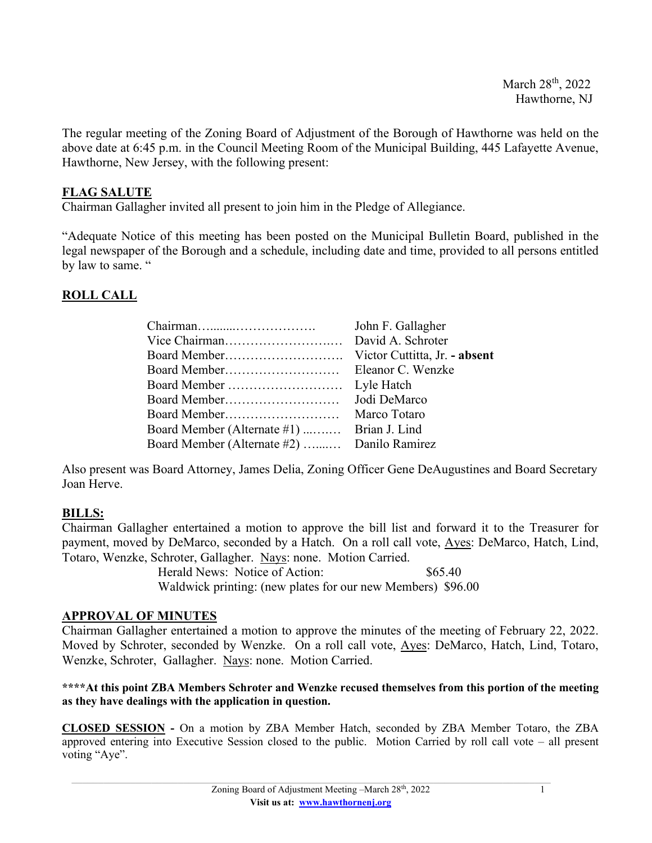The regular meeting of the Zoning Board of Adjustment of the Borough of Hawthorne was held on the above date at 6:45 p.m. in the Council Meeting Room of the Municipal Building, 445 Lafayette Avenue, Hawthorne, New Jersey, with the following present:

### **FLAG SALUTE**

Chairman Gallagher invited all present to join him in the Pledge of Allegiance.

"Adequate Notice of this meeting has been posted on the Municipal Bulletin Board, published in the legal newspaper of the Borough and a schedule, including date and time, provided to all persons entitled by law to same. "

## **ROLL CALL**

|                                             | John F. Gallagher             |
|---------------------------------------------|-------------------------------|
| Vice Chairman                               | David A. Schroter             |
|                                             | Victor Cuttitta, Jr. - absent |
|                                             | Eleanor C. Wenzke             |
|                                             | Lyle Hatch                    |
|                                             | Jodi DeMarco                  |
|                                             | Marco Totaro                  |
| Board Member (Alternate #1)  Brian J. Lind  |                               |
| Board Member (Alternate #2)  Danilo Ramirez |                               |

Also present was Board Attorney, James Delia, Zoning Officer Gene DeAugustines and Board Secretary Joan Herve.

# **BILLS:**

Chairman Gallagher entertained a motion to approve the bill list and forward it to the Treasurer for payment, moved by DeMarco, seconded by a Hatch. On a roll call vote, Ayes: DeMarco, Hatch, Lind, Totaro, Wenzke, Schroter, Gallagher. Nays: none. Motion Carried.

> Herald News: Notice of Action: \$65.40 Waldwick printing: (new plates for our new Members) \$96.00

### **APPROVAL OF MINUTES**

Chairman Gallagher entertained a motion to approve the minutes of the meeting of February 22, 2022. Moved by Schroter, seconded by Wenzke. On a roll call vote, Ayes: DeMarco, Hatch, Lind, Totaro, Wenzke, Schroter, Gallagher. Nays: none. Motion Carried.

#### **\*\*\*\*At this point ZBA Members Schroter and Wenzke recused themselves from this portion of the meeting as they have dealings with the application in question.**

**CLOSED SESSION -** On a motion by ZBA Member Hatch, seconded by ZBA Member Totaro, the ZBA approved entering into Executive Session closed to the public. Motion Carried by roll call vote – all present voting "Aye".